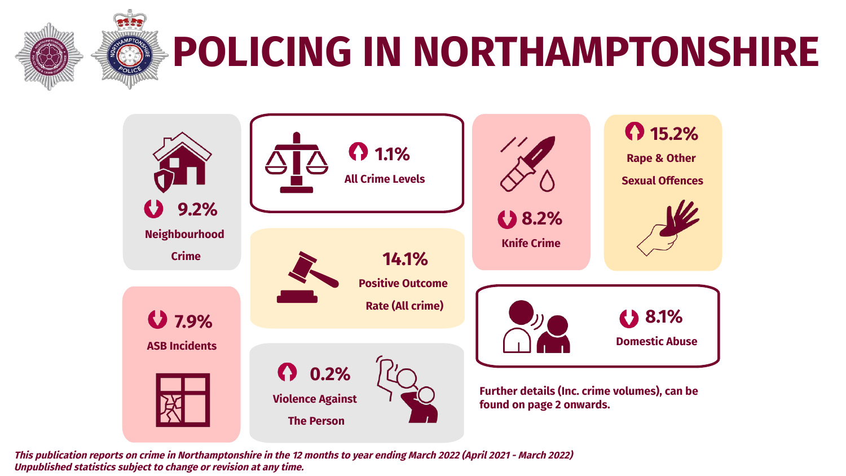

## **POLICING IN NORTHAMPTONSHIRE**



**This publication reports on crime in Northamptonshire in the 12 months to year ending March 2022 (April 2021 - March 2022) Unpublished statistics subject to change or revision at any time.**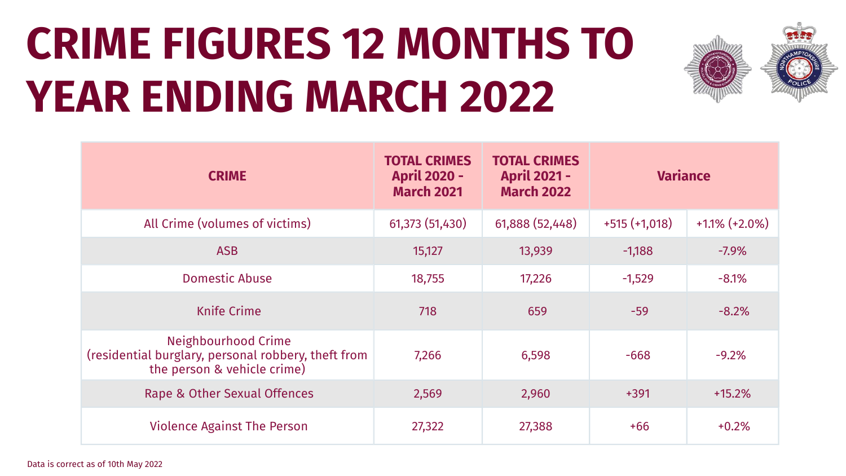# **CRIME FIGURES 12 MONTHS TO YEAR ENDING MARCH 2022**



| <b>CRIME</b>                                                                                                     | <b>TOTAL CRIMES</b><br><b>April 2020 -</b><br><b>March 2021</b> | <b>TOTAL CRIMES</b><br><b>April 2021 -</b><br><b>March 2022</b> | <b>Variance</b> |                  |
|------------------------------------------------------------------------------------------------------------------|-----------------------------------------------------------------|-----------------------------------------------------------------|-----------------|------------------|
| All Crime (volumes of victims)                                                                                   | 61,373 (51,430)                                                 | 61,888 (52,448)                                                 | $+515 (+1,018)$ | $+1.1\%$ (+2.0%) |
| <b>ASB</b>                                                                                                       | 15,127                                                          | 13,939                                                          | $-1,188$        | $-7.9%$          |
| <b>Domestic Abuse</b>                                                                                            | 18,755                                                          | 17,226                                                          | $-1,529$        | $-8.1%$          |
| <b>Knife Crime</b>                                                                                               | 718                                                             | 659                                                             | $-59$           | $-8.2%$          |
| <b>Neighbourhood Crime</b><br>(residential burglary, personal robbery, theft from<br>the person & vehicle crime) | 7,266                                                           | 6,598                                                           | $-668$          | $-9.2%$          |
| Rape & Other Sexual Offences                                                                                     | 2,569                                                           | 2,960                                                           | $+391$          | $+15.2%$         |
| <b>Violence Against The Person</b>                                                                               | 27,322                                                          | 27,388                                                          | $+66$           | $+0.2%$          |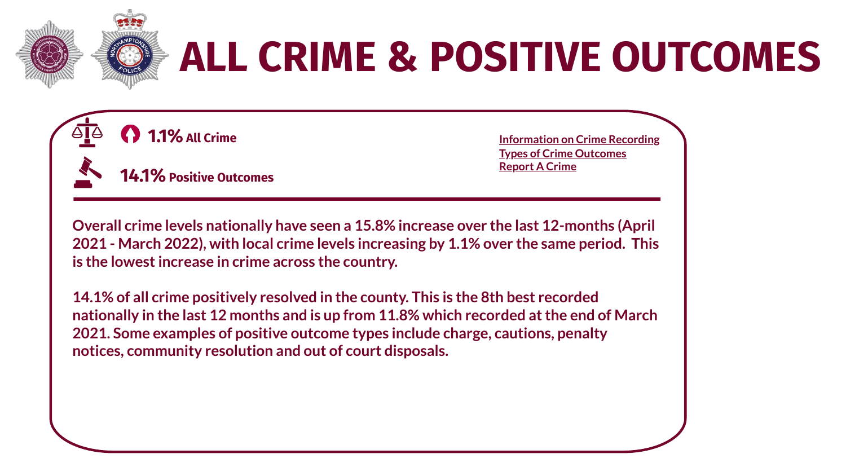

## **ALL CRIME & POSITIVE OUTCOMES**



 **14.1% Positive Outcomes**

 **1.1% All Crime [Information](https://assets.publishing.service.gov.uk/government/uploads/system/uploads/attachment_data/file/992833/count-general-jun-2021.pdf) on Crime Recording Types of Crime [Outcomes](https://www.gov.uk/government/statistics/crime-outcomes-in-england-and-wales-2020-to-2021) [Report](https://www.northants.police.uk/ro/report/ocr/af/how-to-report-a-crime/) A Crime**

**Overall crime levels nationally have seen a 15.8% increase over the last 12-months (April 2021 - March 2022), with local crime levels increasing by 1.1% over the same period. This is the lowestincrease in crime across the country.**

**14.1% of all crime positively resolved in the county. This is the 8th best recorded nationally in the last 12 months and is up from 11.8% which recorded atthe end of March 2021. Some examples of positive outcome types include charge, cautions, penalty notices, community resolution and out of court disposals.**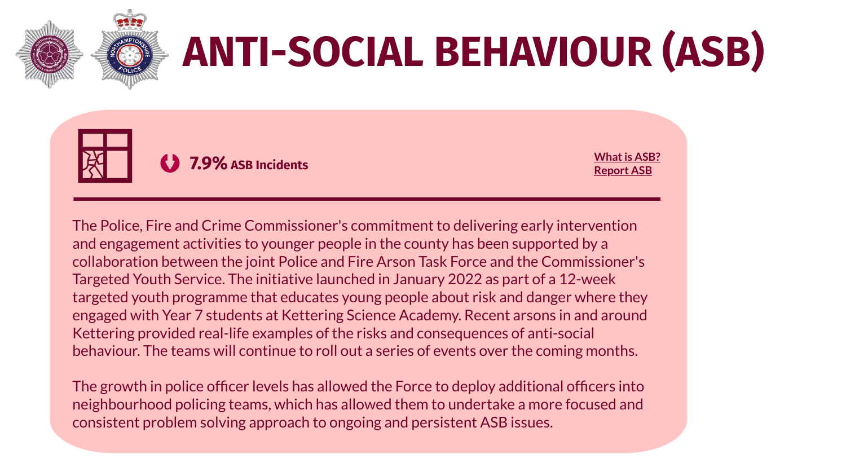

# **ANTI-SOCIAL BEHAVIOUR (ASB)**



**[Report](https://www.northants.police.uk/ro/report/asb/asb/report-antisocial-behaviour/) ASB**

The Police, Fire and Crime Commissioner's commitment to delivering early intervention and engagement activities to younger people in the county has been supported by a collaboration between the joint Police and Fire Arson Task Force and the Commissioner's Targeted Youth Service. The initiative launched in January 2022 as part of a 12-week targeted youth programme that educates young people about risk and danger where they engaged with Year 7 students at Kettering Science Academy. Recent arsons in and around Kettering provided real-life examples of the risks and consequences of anti-social behaviour. The teams will continue to roll out a series of events over the coming months.

The growth in police officer levels has allowed the Force to deploy additional officers into neighbourhood policing teams, which has allowed them to undertake a more focused and consistent problem solving approach to ongoing and persistent ASB issues.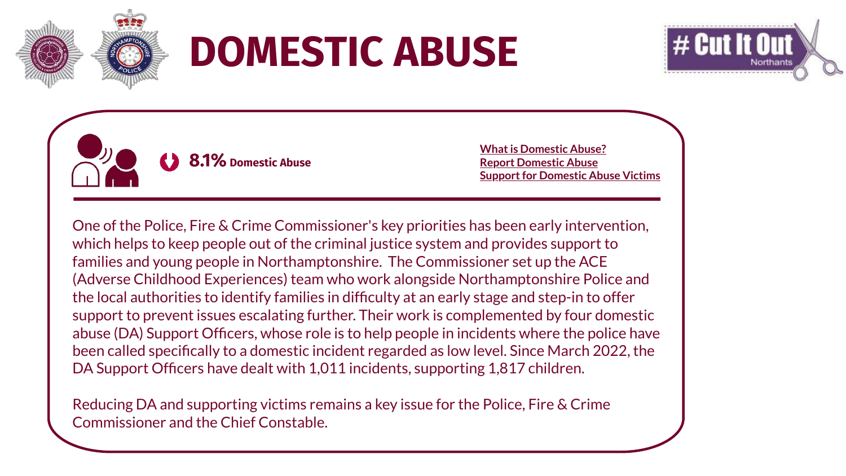

### **DOMESTIC ABUSE**



 **8.1% Domestic Abuse**

**What is [Domestic](https://www.northants.police.uk/advice/advice-and-information/daa/domestic-abuse/what-is-domestic-abuse/) Abuse? Report [Domestic](https://www.northants.police.uk/advice/advice-and-information/daa/domestic-abuse/how-to-report-domestic-abuse/) Abuse Support for Domestic Abuse Victims** 

One of the Police, Fire & Crime Commissioner's key priorities has been early intervention, which helps to keep people out of the criminal justice system and provides support to families and young people in Northamptonshire. The Commissioner set up the ACE (Adverse Childhood Experiences) team who work alongside Northamptonshire Police and the local authorities to identify families in difficulty at an early stage and step-in to offer support to prevent issues escalating further. Their work is complemented by four domestic abuse (DA) Support Officers, whose role is to help people in incidents where the police have been called specifically to a domestic incident regarded as low level. Since March 2022, the DA Support Officers have dealt with 1,011 incidents, supporting 1,817 children.

Reducing DA and supporting victims remains a key issue for the Police, Fire & Crime Commissioner and the Chief Constable.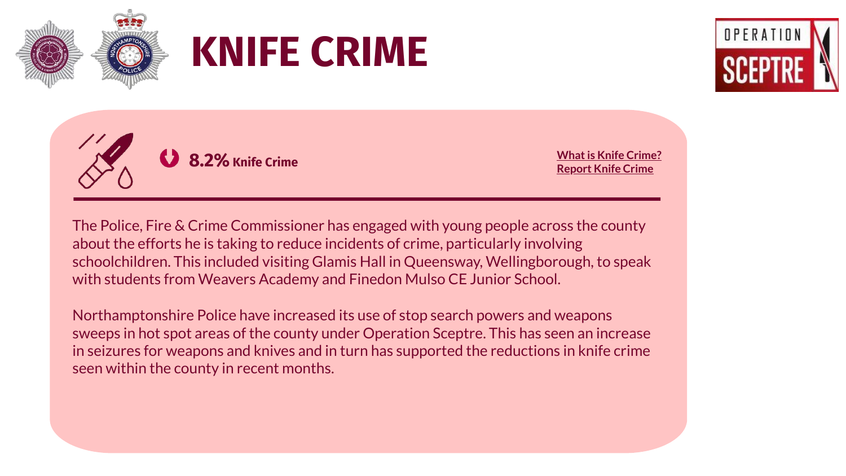







**[Report](https://www.northants.police.uk/ro/report/ocr/af/how-to-report-a-crime/) Knife Crime**

The Police, Fire & Crime Commissioner has engaged with young people across the county about the efforts he is taking to reduce incidents of crime, particularly involving schoolchildren. This included visiting Glamis Hall in Queensway, Wellingborough, to speak with students from Weavers Academy and Finedon Mulso CE Junior School.

Northamptonshire Police have increased its use of stop search powers and weapons sweeps in hot spot areas of the county under Operation Sceptre. This has seen an increase in seizures for weapons and knives and in turn has supported the reductions in knife crime seen within the county in recent months.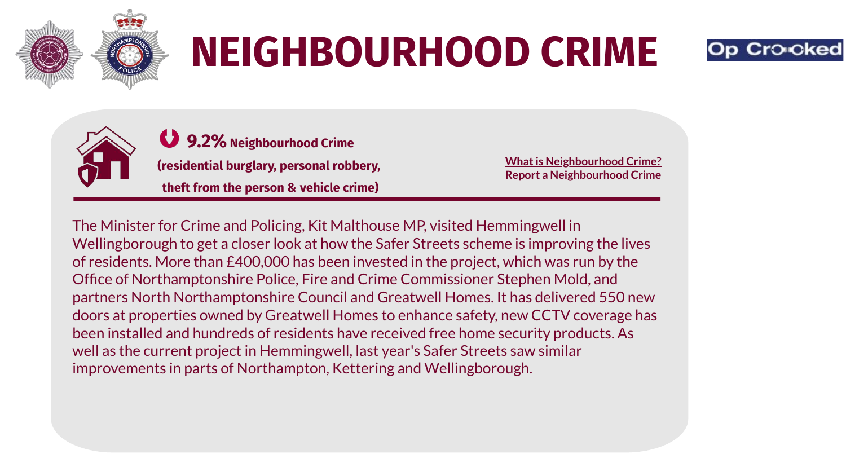

## **NEIGHBOURHOOD CRIME**





**9.2% Neighbourhood Crime (residential burglary, personal robbery,**

**theft from the person & vehicle crime)**

**What is [Neighbourhood](https://www.gov.uk/government/publications/beating-crime-plan/beating-crime-plan#chapter-2--cutting-homicide-serious-violence-and-neighbourhood-crime) Crime? Report a [Neighbourhood](https://www.northants.police.uk/ro/report/ocr/af/how-to-report-a-crime/) Crime**

The Minister for Crime and Policing, Kit Malthouse MP, visited Hemmingwell in Wellingborough to get a closer look at how the Safer Streets scheme is improving the lives of residents. More than £400,000 has been invested in the project, which was run by the Office of Northamptonshire Police, Fire and Crime Commissioner Stephen Mold, and partners North Northamptonshire Council and Greatwell Homes. It has delivered 550 new doors at properties owned by Greatwell Homes to enhance safety, new CCTV coverage has been installed and hundreds of residents have received free home security products. As well as the current project in Hemmingwell, last year's Safer Streets saw similar improvements in parts of Northampton, Kettering and Wellingborough.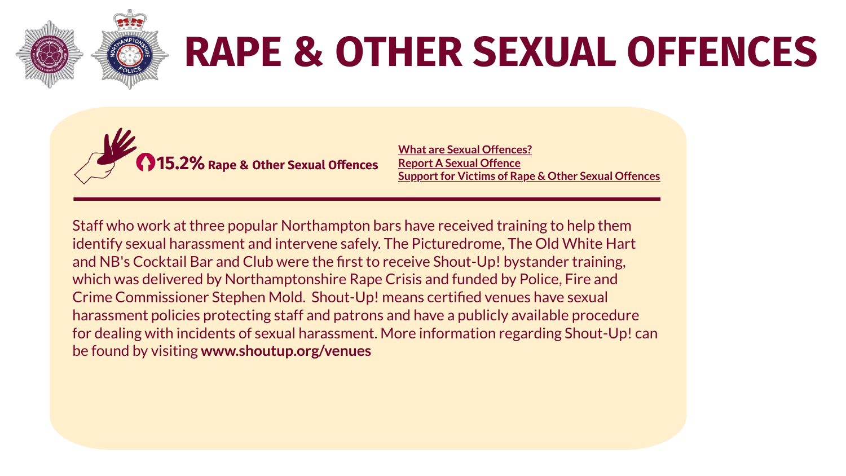

## **RAPE & OTHER SEXUAL OFFENCES**



**What are Sexual [Offences?](https://www.cps.gov.uk/crime-info/sexual-offences) Report A Sexual [Offence](https://www.northants.police.uk/advice/advice-and-information/rsa/rape-and-sexual-assault/how-to-report-rape-and-sexual-assault/) Support for Victims of Rape & Other Sexual Offences** 

Staff who work at three popular Northampton bars have received training to help them identify sexual harassment and intervene safely. The Picturedrome, The Old White Hart and NB's Cocktail Bar and Club were the first to receive Shout-Up! bystander training, which was delivered by Northamptonshire Rape Crisis and funded by Police, Fire and Crime Commissioner Stephen Mold. Shout-Up! means certified venues have sexual harassment policies protecting staff and patrons and have a publicly available procedure for dealing with incidents of sexual harassment. More information regarding Shout-Up! can be found by visiting **www.shoutup.org/venues**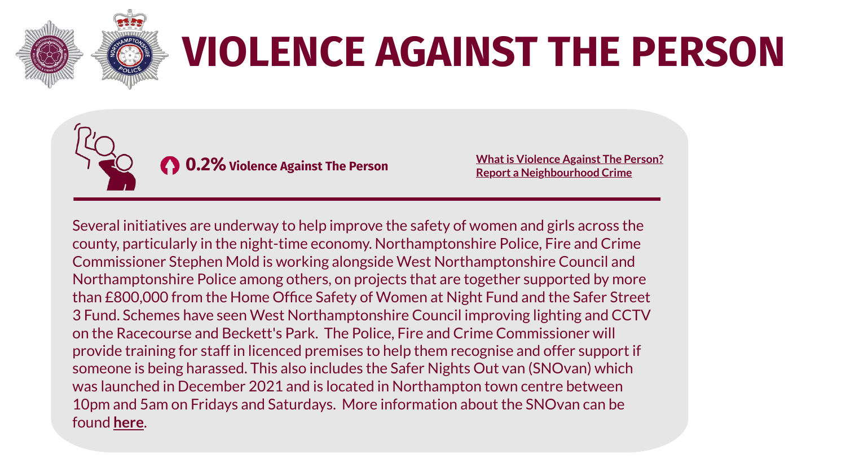

## **VIOLENCE AGAINST THE PERSON**



**What is [Violence](https://assets.publishing.service.gov.uk/government/uploads/system/uploads/attachment_data/file/992839/count-violence-jun-2021.pdf) Against The Person? Report a [Neighbourhood](https://www.northants.police.uk/ro/report/ocr/af/how-to-report-a-crime/) Crime**

Several initiatives are underway to help improve the safety of women and girls across the county, particularly in the night-time economy. Northamptonshire Police, Fire and Crime Commissioner Stephen Mold is working alongside West Northamptonshire Council and Northamptonshire Police among others, on projects that are together supported by more than £800,000 from the Home Office Safety of Women at Night Fund and the Safer Street 3 Fund. Schemes have seen West Northamptonshire Council improving lighting and CCTV on the Racecourse and Beckett's Park. The Police, Fire and Crime Commissioner will provide training for staff in licenced premises to help them recognise and offer support if someone is being harassed. This also includes the Safer Nights Out van (SNOvan) which was launched in December 2021 and is located in Northampton town centre between 10pm and 5am on Fridays and Saturdays. More information about the SNOvan can be found **[here](https://www.northantspfcc.org.uk/wp-content/uploads/2021/12/PFCC-newsletter-December21-1.pdf)**.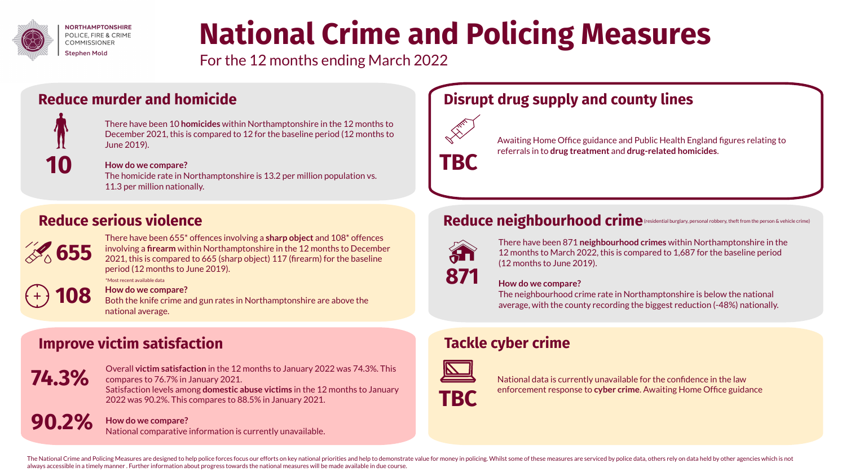

### **National Crime and Policing Measures**

For the 12 months ending March 2022

### **Reduce murder and homicide**



There have been 10 **homicides** within Northamptonshire in the 12 months to December 2021, this is compared to 12 for the baseline period (12 months to June 2019).

#### **How do we compare?**

The homicide rate in Northamptonshire is 13.2 per million population vs. 11.3 per million nationally.



There have been 655\* offences involving a **sharp object** and 108\* offences involving a **firearm** within Northamptonshire in the 12 months to December 2021, this is compared to 665 (sharp object) 117 (firearm) for the baseline period (12 months to June 2019). \*Most recent available data

#### **How do we compare? 108**

Both the knife crime and gun rates in Northamptonshire are above the national average.

### **Improve victim satisfaction Tackle cyber crime**



**90.2%**

Overall **victim satisfaction** in the 12 months to January 2022 was 74.3%. This compares to 76.7% in January 2021. Satisfaction levels among **domestic abuse victims** in the 12 months to January 2022 was 90.2%. This compares to 88.5% in January 2021.

**How do we compare?** National comparative information is currently unavailable.

### **Disrupt drug supply and county lines**



Awaiting Home Office guidance and Public Health England figures relating to referrals in to **drug treatment** and **drug-related homicides**.

### Reduce serious violence **reduce the particular of the person & vehicle crime**



There have been 871 **neighbourhood crimes** within Northamptonshire in the 12 months to March 2022, this is compared to 1,687 for the baseline period (12 months to June 2019).

#### **How do we compare?**

The neighbourhood crime rate in Northamptonshire is below the national average, with the county recording the biggest reduction (-48%) nationally.



National data is currently unavailable for the confidence in the law enforcement response to **cyber crime**. Awaiting Home Office guidance

The National Crime and Policing Measures are designed to help police forces focus our efforts on key national priorities and help to demonstrate value for money in policing. Whilst some of these measures are serviced by po always accessible in a timely manner . Further information about progress towards the national measures will be made available in due course.